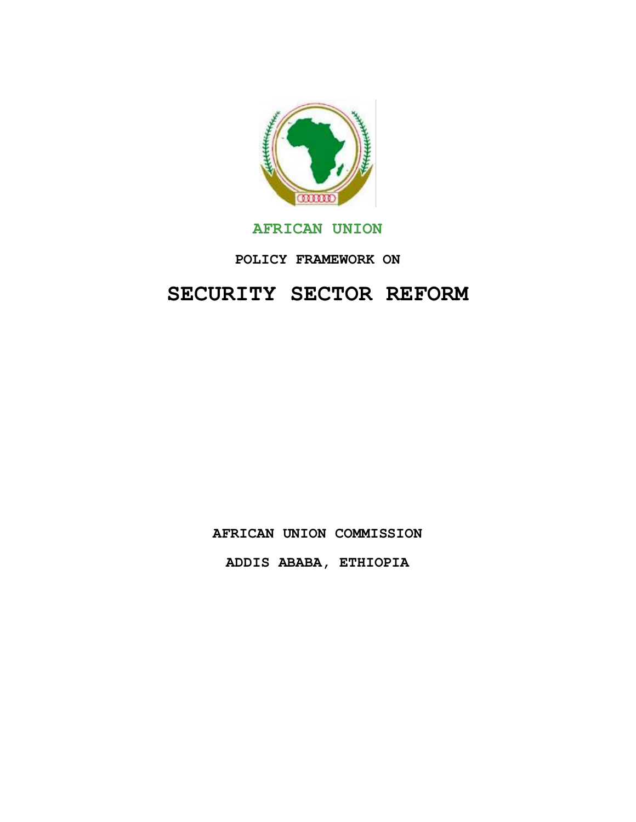

# **AFRICAN UNION**

# **POLICY FRAMEWORK ON**

# **SECURITY SECTOR REFORM**

**AFRICAN UNION COMMISSION**

**ADDIS ABABA, ETHIOPIA**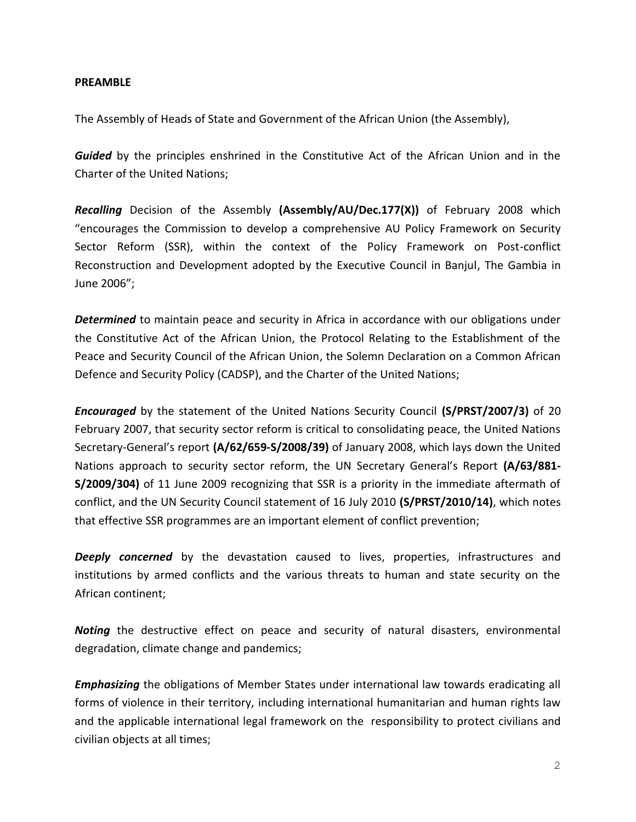#### **PREAMBLE**

The Assembly of Heads of State and Government of the African Union (the Assembly),

*Guided* by the principles enshrined in the Constitutive Act of the African Union and in the Charter of the United Nations;

*Recalling* Decision of the Assembly **(Assembly/AU/Dec.177(X))** of February 2008 which "encourages the Commission to develop a comprehensive AU Policy Framework on Security Sector Reform (SSR), within the context of the Policy Framework on Post-conflict Reconstruction and Development adopted by the Executive Council in Banjul, The Gambia in June 2006";

*Determined* to maintain peace and security in Africa in accordance with our obligations under the Constitutive Act of the African Union, the Protocol Relating to the Establishment of the Peace and Security Council of the African Union, the Solemn Declaration on a Common African Defence and Security Policy (CADSP), and the Charter of the United Nations;

*Encouraged* by the statement of the United Nations Security Council **(S/PRST/2007/3)** of 20 February 2007, that security sector reform is critical to consolidating peace, the United Nations Secretary-General's report **(A/62/659-S/2008/39)** of January 2008, which lays down the United Nations approach to security sector reform, the UN Secretary General's Report **(A/63/881- S/2009/304)** of 11 June 2009 recognizing that SSR is a priority in the immediate aftermath of conflict, and the UN Security Council statement of 16 July 2010 **(S/PRST/2010/14)**, which notes that effective SSR programmes are an important element of conflict prevention;

**Deeply concerned** by the devastation caused to lives, properties, infrastructures and institutions by armed conflicts and the various threats to human and state security on the African continent;

*Noting* the destructive effect on peace and security of natural disasters, environmental degradation, climate change and pandemics;

*Emphasizing* the obligations of Member States under international law towards eradicating all forms of violence in their territory, including international humanitarian and human rights law and the applicable international legal framework on the responsibility to protect civilians and civilian objects at all times;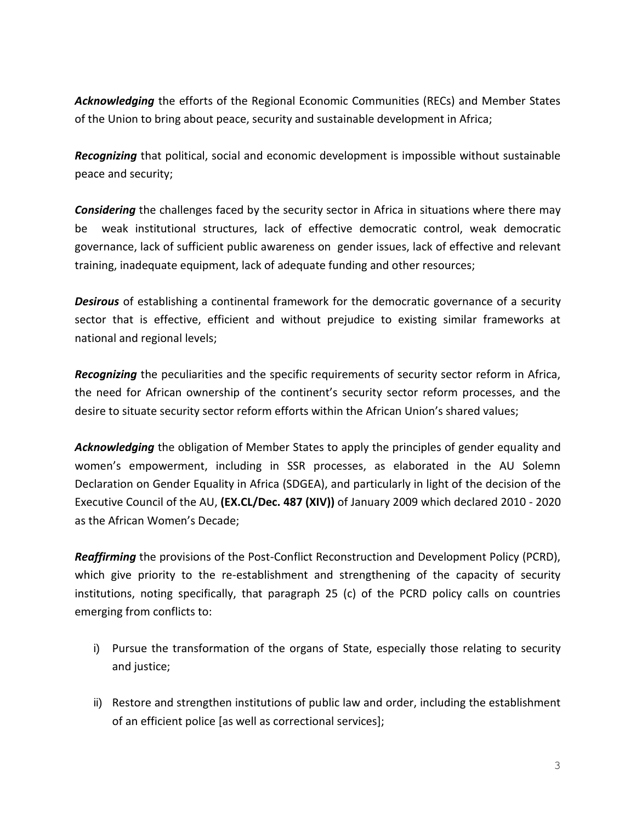*Acknowledging* the efforts of the Regional Economic Communities (RECs) and Member States of the Union to bring about peace, security and sustainable development in Africa;

*Recognizing* that political, social and economic development is impossible without sustainable peace and security;

*Considering* the challenges faced by the security sector in Africa in situations where there may be weak institutional structures, lack of effective democratic control, weak democratic governance, lack of sufficient public awareness on gender issues, lack of effective and relevant training, inadequate equipment, lack of adequate funding and other resources;

*Desirous* of establishing a continental framework for the democratic governance of a security sector that is effective, efficient and without prejudice to existing similar frameworks at national and regional levels;

*Recognizing* the peculiarities and the specific requirements of security sector reform in Africa, the need for African ownership of the continent's security sector reform processes, and the desire to situate security sector reform efforts within the African Union's shared values;

*Acknowledging* the obligation of Member States to apply the principles of gender equality and women's empowerment, including in SSR processes, as elaborated in the AU Solemn Declaration on Gender Equality in Africa (SDGEA), and particularly in light of the decision of the Executive Council of the AU, **(EX.CL/Dec. 487 (XIV))** of January 2009 which declared 2010 - 2020 as the African Women's Decade;

*Reaffirming* the provisions of the Post-Conflict Reconstruction and Development Policy (PCRD), which give priority to the re-establishment and strengthening of the capacity of security institutions, noting specifically, that paragraph 25 (c) of the PCRD policy calls on countries emerging from conflicts to:

- i) Pursue the transformation of the organs of State, especially those relating to security and justice;
- ii) Restore and strengthen institutions of public law and order, including the establishment of an efficient police [as well as correctional services];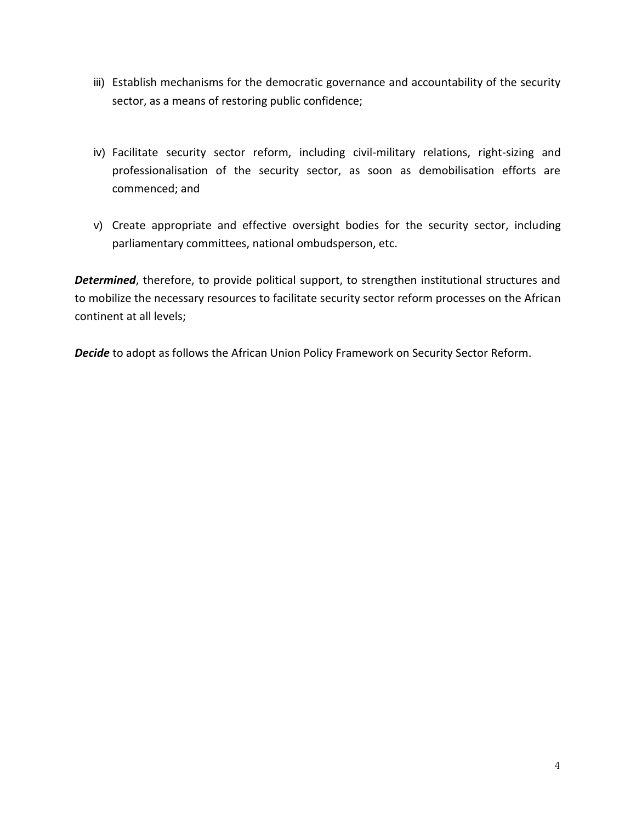- iii) Establish mechanisms for the democratic governance and accountability of the security sector, as a means of restoring public confidence;
- iv) Facilitate security sector reform, including civil-military relations, right-sizing and professionalisation of the security sector, as soon as demobilisation efforts are commenced; and
- v) Create appropriate and effective oversight bodies for the security sector, including parliamentary committees, national ombudsperson, etc.

*Determined*, therefore, to provide political support, to strengthen institutional structures and to mobilize the necessary resources to facilitate security sector reform processes on the African continent at all levels;

*Decide* to adopt as follows the African Union Policy Framework on Security Sector Reform.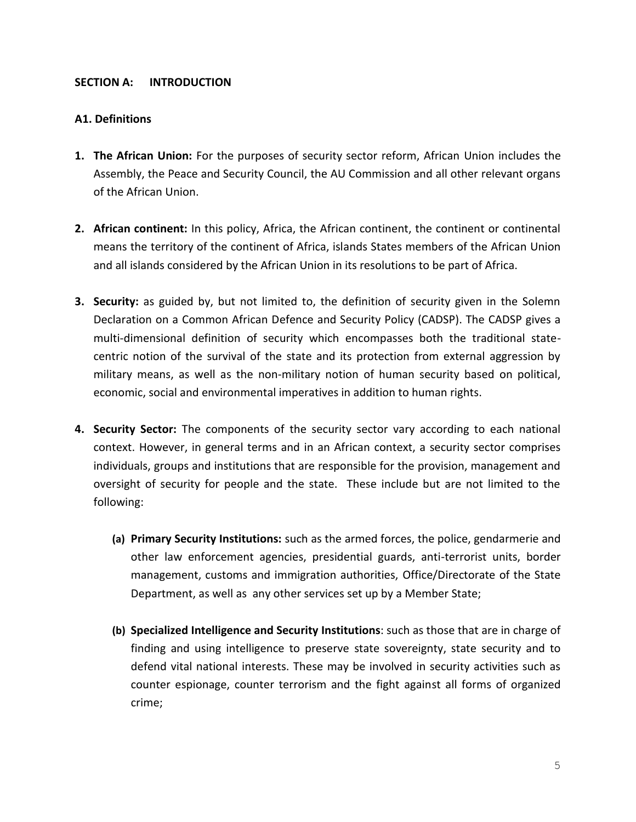# **SECTION A: INTRODUCTION**

# **A1. Definitions**

- **1. The African Union:** For the purposes of security sector reform, African Union includes the Assembly, the Peace and Security Council, the AU Commission and all other relevant organs of the African Union.
- **2. African continent:** In this policy, Africa, the African continent, the continent or continental means the territory of the continent of Africa, islands States members of the African Union and all islands considered by the African Union in its resolutions to be part of Africa.
- **3. Security:** as guided by, but not limited to, the definition of security given in the Solemn Declaration on a Common African Defence and Security Policy (CADSP). The CADSP gives a multi-dimensional definition of security which encompasses both the traditional statecentric notion of the survival of the state and its protection from external aggression by military means, as well as the non-military notion of human security based on political, economic, social and environmental imperatives in addition to human rights.
- **4. Security Sector:** The components of the security sector vary according to each national context. However, in general terms and in an African context, a security sector comprises individuals, groups and institutions that are responsible for the provision, management and oversight of security for people and the state. These include but are not limited to the following:
	- **(a) Primary Security Institutions:** such as the armed forces, the police, gendarmerie and other law enforcement agencies, presidential guards, anti-terrorist units, border management, customs and immigration authorities, Office/Directorate of the State Department, as well as any other services set up by a Member State;
	- **(b) Specialized Intelligence and Security Institutions**: such as those that are in charge of finding and using intelligence to preserve state sovereignty, state security and to defend vital national interests. These may be involved in security activities such as counter espionage, counter terrorism and the fight against all forms of organized crime;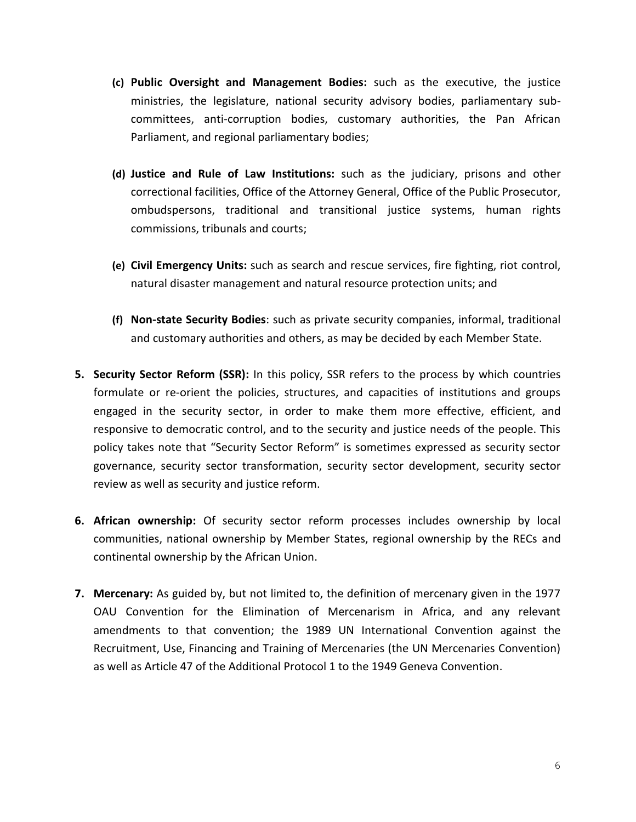- **(c) Public Oversight and Management Bodies:** such as the executive, the justice ministries, the legislature, national security advisory bodies, parliamentary subcommittees, anti-corruption bodies, customary authorities, the Pan African Parliament, and regional parliamentary bodies;
- **(d) Justice and Rule of Law Institutions:** such as the judiciary, prisons and other correctional facilities, Office of the Attorney General, Office of the Public Prosecutor, ombudspersons, traditional and transitional justice systems, human rights commissions, tribunals and courts;
- **(e) Civil Emergency Units:** such as search and rescue services, fire fighting, riot control, natural disaster management and natural resource protection units; and
- **(f) Non-state Security Bodies**: such as private security companies, informal, traditional and customary authorities and others, as may be decided by each Member State.
- **5. Security Sector Reform (SSR):** In this policy, SSR refers to the process by which countries formulate or re-orient the policies, structures, and capacities of institutions and groups engaged in the security sector, in order to make them more effective, efficient, and responsive to democratic control, and to the security and justice needs of the people. This policy takes note that "Security Sector Reform" is sometimes expressed as security sector governance, security sector transformation, security sector development, security sector review as well as security and justice reform.
- **6. African ownership:** Of security sector reform processes includes ownership by local communities, national ownership by Member States, regional ownership by the RECs and continental ownership by the African Union.
- **7. Mercenary:** As guided by, but not limited to, the definition of mercenary given in the 1977 OAU Convention for the Elimination of Mercenarism in Africa, and any relevant amendments to that convention; the 1989 UN International Convention against the Recruitment, Use, Financing and Training of Mercenaries (the UN Mercenaries Convention) as well as Article 47 of the Additional Protocol 1 to the 1949 Geneva Convention.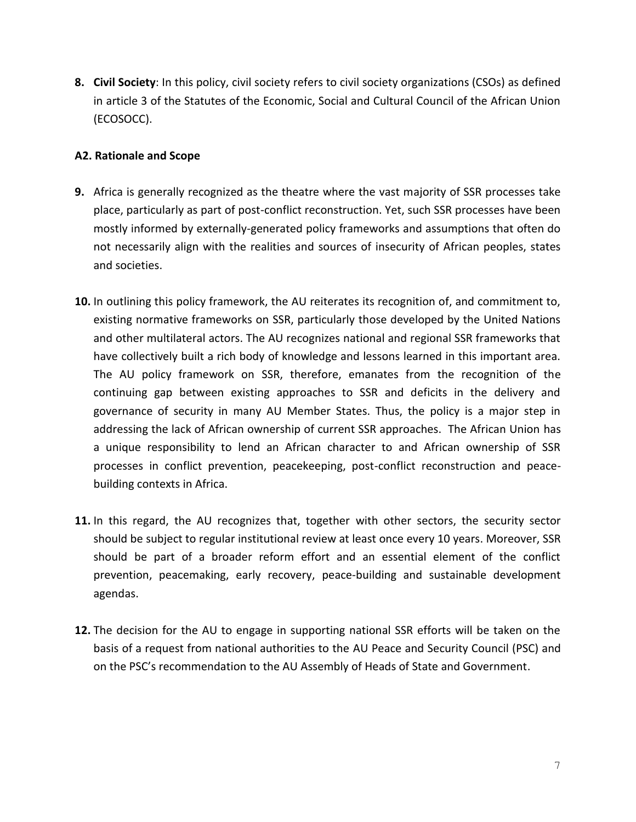**8. Civil Society**: In this policy, civil society refers to civil society organizations (CSOs) as defined in article 3 of the Statutes of the Economic, Social and Cultural Council of the African Union (ECOSOCC).

# **A2. Rationale and Scope**

- **9.** Africa is generally recognized as the theatre where the vast majority of SSR processes take place, particularly as part of post-conflict reconstruction. Yet, such SSR processes have been mostly informed by externally-generated policy frameworks and assumptions that often do not necessarily align with the realities and sources of insecurity of African peoples, states and societies.
- **10.** In outlining this policy framework, the AU reiterates its recognition of, and commitment to, existing normative frameworks on SSR, particularly those developed by the United Nations and other multilateral actors. The AU recognizes national and regional SSR frameworks that have collectively built a rich body of knowledge and lessons learned in this important area. The AU policy framework on SSR, therefore, emanates from the recognition of the continuing gap between existing approaches to SSR and deficits in the delivery and governance of security in many AU Member States. Thus, the policy is a major step in addressing the lack of African ownership of current SSR approaches. The African Union has a unique responsibility to lend an African character to and African ownership of SSR processes in conflict prevention, peacekeeping, post-conflict reconstruction and peacebuilding contexts in Africa.
- **11.** In this regard, the AU recognizes that, together with other sectors, the security sector should be subject to regular institutional review at least once every 10 years. Moreover, SSR should be part of a broader reform effort and an essential element of the conflict prevention, peacemaking, early recovery, peace-building and sustainable development agendas.
- **12.** The decision for the AU to engage in supporting national SSR efforts will be taken on the basis of a request from national authorities to the AU Peace and Security Council (PSC) and on the PSC's recommendation to the AU Assembly of Heads of State and Government.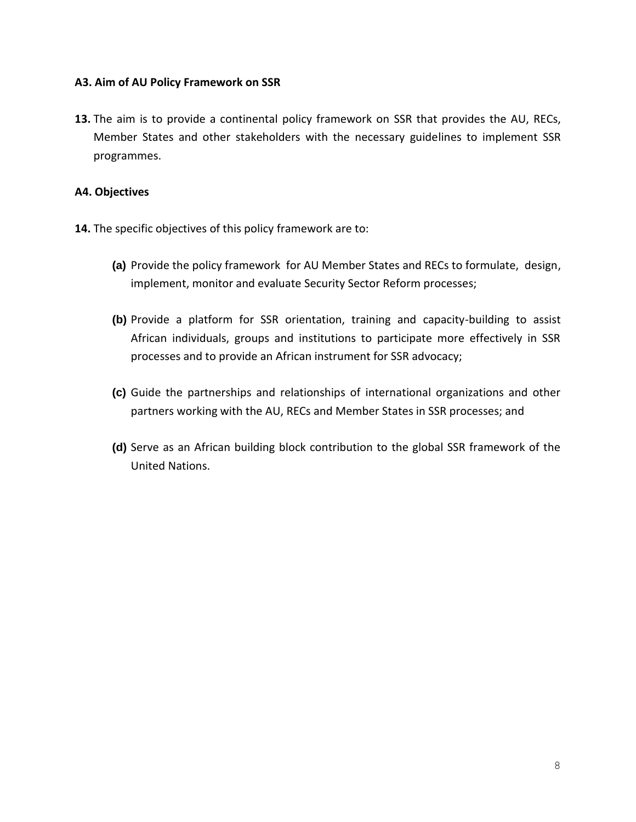# **A3. Aim of AU Policy Framework on SSR**

**13.** The aim is to provide a continental policy framework on SSR that provides the AU, RECs, Member States and other stakeholders with the necessary guidelines to implement SSR programmes.

# **A4. Objectives**

- **14.** The specific objectives of this policy framework are to:
	- **(a)** Provide the policy framework for AU Member States and RECs to formulate, design, implement, monitor and evaluate Security Sector Reform processes;
	- **(b)** Provide a platform for SSR orientation, training and capacity-building to assist African individuals, groups and institutions to participate more effectively in SSR processes and to provide an African instrument for SSR advocacy;
	- **(c)** Guide the partnerships and relationships of international organizations and other partners working with the AU, RECs and Member States in SSR processes; and
	- **(d)** Serve as an African building block contribution to the global SSR framework of the United Nations.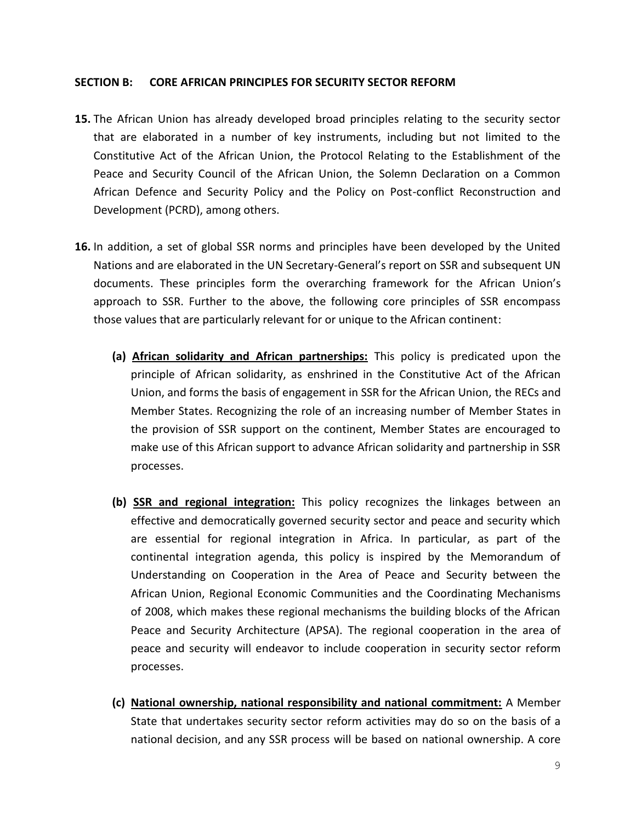#### **SECTION B: CORE AFRICAN PRINCIPLES FOR SECURITY SECTOR REFORM**

- **15.** The African Union has already developed broad principles relating to the security sector that are elaborated in a number of key instruments, including but not limited to the Constitutive Act of the African Union, the Protocol Relating to the Establishment of the Peace and Security Council of the African Union, the Solemn Declaration on a Common African Defence and Security Policy and the Policy on Post-conflict Reconstruction and Development (PCRD), among others.
- **16.** In addition, a set of global SSR norms and principles have been developed by the United Nations and are elaborated in the UN Secretary-General's report on SSR and subsequent UN documents. These principles form the overarching framework for the African Union's approach to SSR. Further to the above, the following core principles of SSR encompass those values that are particularly relevant for or unique to the African continent:
	- **(a) African solidarity and African partnerships:** This policy is predicated upon the principle of African solidarity, as enshrined in the Constitutive Act of the African Union, and forms the basis of engagement in SSR for the African Union, the RECs and Member States. Recognizing the role of an increasing number of Member States in the provision of SSR support on the continent, Member States are encouraged to make use of this African support to advance African solidarity and partnership in SSR processes.
	- **(b) SSR and regional integration:** This policy recognizes the linkages between an effective and democratically governed security sector and peace and security which are essential for regional integration in Africa. In particular, as part of the continental integration agenda, this policy is inspired by the Memorandum of Understanding on Cooperation in the Area of Peace and Security between the African Union, Regional Economic Communities and the Coordinating Mechanisms of 2008, which makes these regional mechanisms the building blocks of the African Peace and Security Architecture (APSA). The regional cooperation in the area of peace and security will endeavor to include cooperation in security sector reform processes.
	- **(c) National ownership, national responsibility and national commitment:** A Member State that undertakes security sector reform activities may do so on the basis of a national decision, and any SSR process will be based on national ownership. A core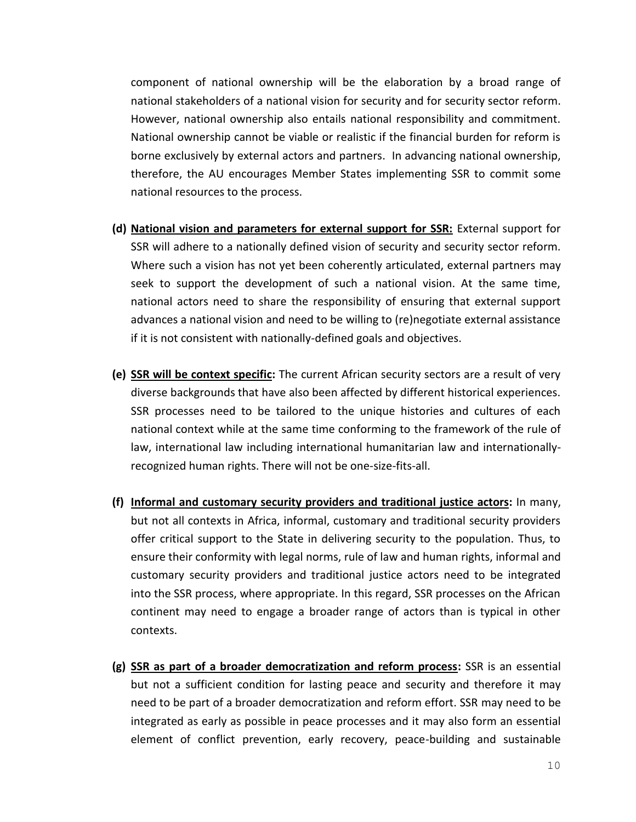component of national ownership will be the elaboration by a broad range of national stakeholders of a national vision for security and for security sector reform. However, national ownership also entails national responsibility and commitment. National ownership cannot be viable or realistic if the financial burden for reform is borne exclusively by external actors and partners. In advancing national ownership, therefore, the AU encourages Member States implementing SSR to commit some national resources to the process.

- **(d) National vision and parameters for external support for SSR:** External support for SSR will adhere to a nationally defined vision of security and security sector reform. Where such a vision has not yet been coherently articulated, external partners may seek to support the development of such a national vision. At the same time, national actors need to share the responsibility of ensuring that external support advances a national vision and need to be willing to (re)negotiate external assistance if it is not consistent with nationally-defined goals and objectives.
- **(e) SSR will be context specific:** The current African security sectors are a result of very diverse backgrounds that have also been affected by different historical experiences. SSR processes need to be tailored to the unique histories and cultures of each national context while at the same time conforming to the framework of the rule of law, international law including international humanitarian law and internationallyrecognized human rights. There will not be one-size-fits-all.
- **(f) Informal and customary security providers and traditional justice actors:** In many, but not all contexts in Africa, informal, customary and traditional security providers offer critical support to the State in delivering security to the population. Thus, to ensure their conformity with legal norms, rule of law and human rights, informal and customary security providers and traditional justice actors need to be integrated into the SSR process, where appropriate. In this regard, SSR processes on the African continent may need to engage a broader range of actors than is typical in other contexts.
- **(g) SSR as part of a broader democratization and reform process:** SSR is an essential but not a sufficient condition for lasting peace and security and therefore it may need to be part of a broader democratization and reform effort. SSR may need to be integrated as early as possible in peace processes and it may also form an essential element of conflict prevention, early recovery, peace-building and sustainable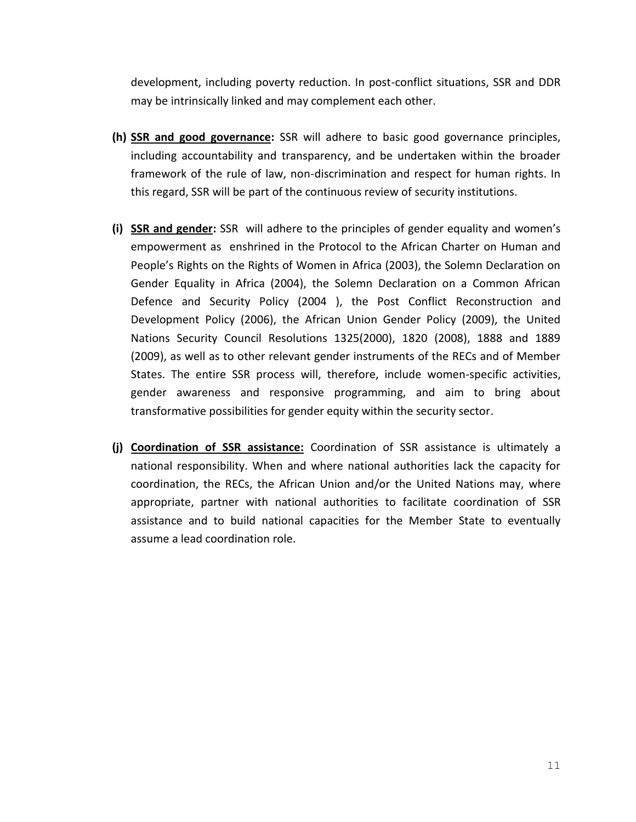development, including poverty reduction. In post-conflict situations, SSR and DDR may be intrinsically linked and may complement each other.

- **(h) SSR and good governance:** SSR will adhere to basic good governance principles, including accountability and transparency, and be undertaken within the broader framework of the rule of law, non-discrimination and respect for human rights. In this regard, SSR will be part of the continuous review of security institutions.
- **(i) SSR and gender:** SSR will adhere to the principles of gender equality and women's empowerment as enshrined in the Protocol to the African Charter on Human and People's Rights on the Rights of Women in Africa (2003), the Solemn Declaration on Gender Equality in Africa (2004), the Solemn Declaration on a Common African Defence and Security Policy (2004 ), the Post Conflict Reconstruction and Development Policy (2006), the African Union Gender Policy (2009), the United Nations Security Council Resolutions 1325(2000), 1820 (2008), 1888 and 1889 (2009), as well as to other relevant gender instruments of the RECs and of Member States. The entire SSR process will, therefore, include women-specific activities, gender awareness and responsive programming, and aim to bring about transformative possibilities for gender equity within the security sector.
- **(j) Coordination of SSR assistance:** Coordination of SSR assistance is ultimately a national responsibility. When and where national authorities lack the capacity for coordination, the RECs, the African Union and/or the United Nations may, where appropriate, partner with national authorities to facilitate coordination of SSR assistance and to build national capacities for the Member State to eventually assume a lead coordination role.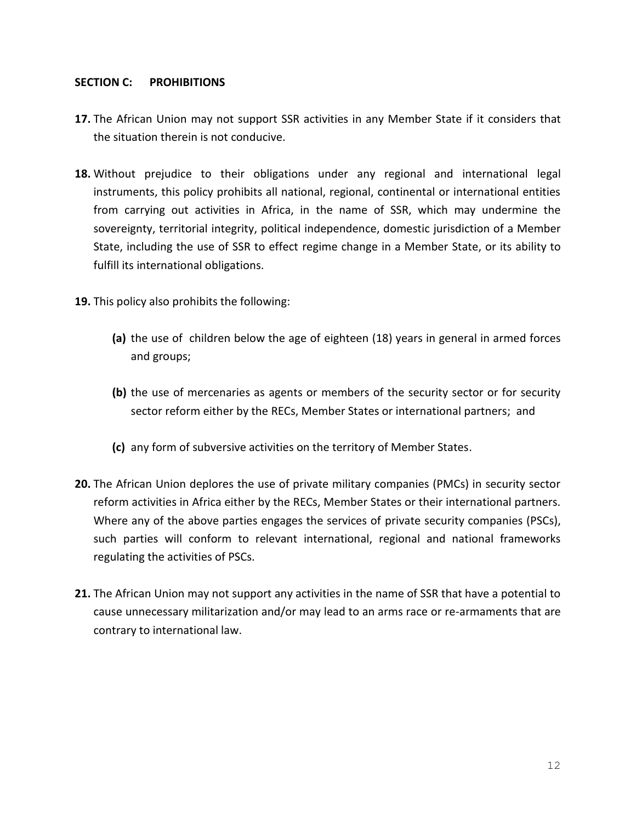# **SECTION C: PROHIBITIONS**

- **17.** The African Union may not support SSR activities in any Member State if it considers that the situation therein is not conducive.
- **18.** Without prejudice to their obligations under any regional and international legal instruments, this policy prohibits all national, regional, continental or international entities from carrying out activities in Africa, in the name of SSR, which may undermine the sovereignty, territorial integrity, political independence, domestic jurisdiction of a Member State, including the use of SSR to effect regime change in a Member State, or its ability to fulfill its international obligations.
- **19.** This policy also prohibits the following:
	- **(a)** the use of children below the age of eighteen (18) years in general in armed forces and groups;
	- **(b)** the use of mercenaries as agents or members of the security sector or for security sector reform either by the RECs, Member States or international partners; and
	- **(c)** any form of subversive activities on the territory of Member States.
- **20.** The African Union deplores the use of private military companies (PMCs) in security sector reform activities in Africa either by the RECs, Member States or their international partners. Where any of the above parties engages the services of private security companies (PSCs), such parties will conform to relevant international, regional and national frameworks regulating the activities of PSCs.
- **21.** The African Union may not support any activities in the name of SSR that have a potential to cause unnecessary militarization and/or may lead to an arms race or re-armaments that are contrary to international law.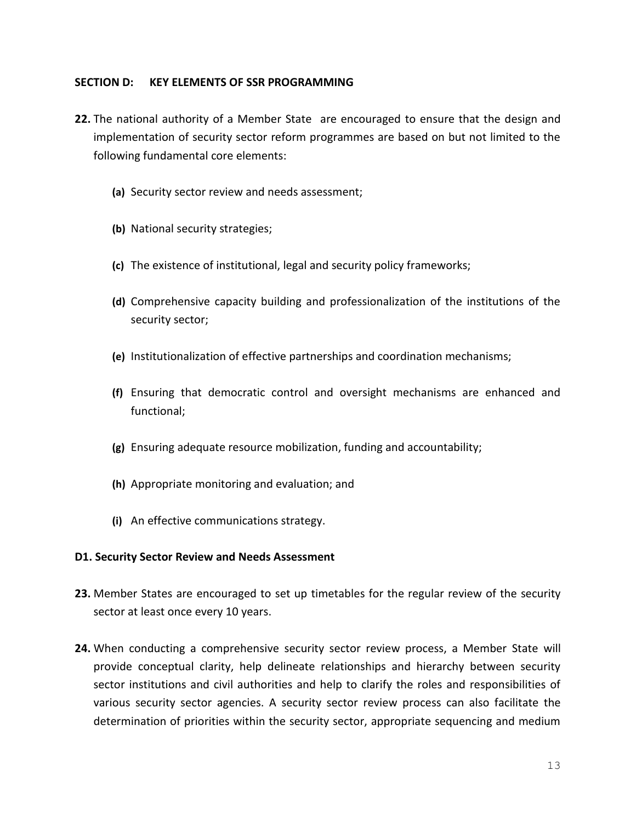#### **SECTION D: KEY ELEMENTS OF SSR PROGRAMMING**

- **22.** The national authority of a Member State are encouraged to ensure that the design and implementation of security sector reform programmes are based on but not limited to the following fundamental core elements:
	- **(a)** Security sector review and needs assessment;
	- **(b)** National security strategies;
	- **(c)** The existence of institutional, legal and security policy frameworks;
	- **(d)** Comprehensive capacity building and professionalization of the institutions of the security sector;
	- **(e)** Institutionalization of effective partnerships and coordination mechanisms;
	- **(f)** Ensuring that democratic control and oversight mechanisms are enhanced and functional;
	- **(g)** Ensuring adequate resource mobilization, funding and accountability;
	- **(h)** Appropriate monitoring and evaluation; and
	- **(i)** An effective communications strategy.

#### **D1. Security Sector Review and Needs Assessment**

- **23.** Member States are encouraged to set up timetables for the regular review of the security sector at least once every 10 years.
- **24.** When conducting a comprehensive security sector review process, a Member State will provide conceptual clarity, help delineate relationships and hierarchy between security sector institutions and civil authorities and help to clarify the roles and responsibilities of various security sector agencies. A security sector review process can also facilitate the determination of priorities within the security sector, appropriate sequencing and medium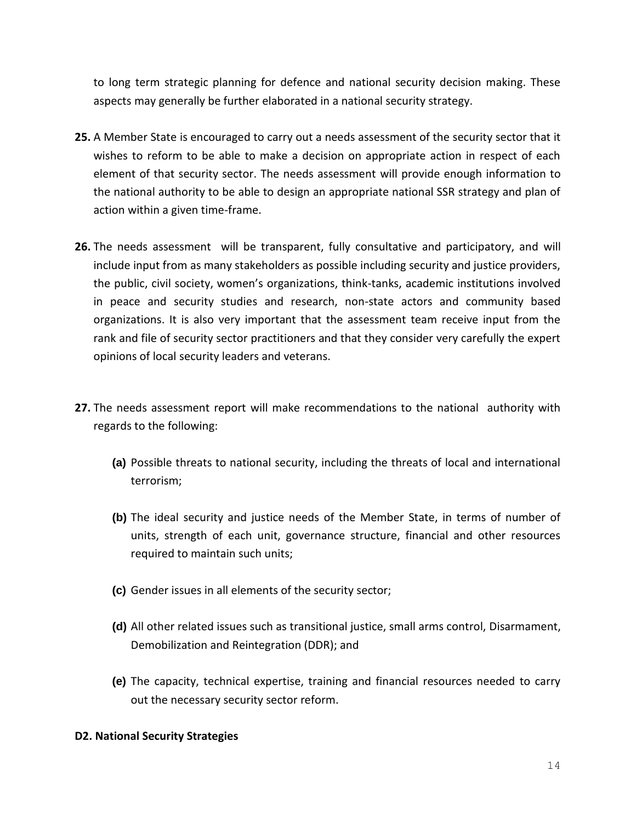to long term strategic planning for defence and national security decision making. These aspects may generally be further elaborated in a national security strategy.

- **25.** A Member State is encouraged to carry out a needs assessment of the security sector that it wishes to reform to be able to make a decision on appropriate action in respect of each element of that security sector. The needs assessment will provide enough information to the national authority to be able to design an appropriate national SSR strategy and plan of action within a given time-frame.
- **26.** The needs assessment will be transparent, fully consultative and participatory, and will include input from as many stakeholders as possible including security and justice providers, the public, civil society, women's organizations, think-tanks, academic institutions involved in peace and security studies and research, non-state actors and community based organizations. It is also very important that the assessment team receive input from the rank and file of security sector practitioners and that they consider very carefully the expert opinions of local security leaders and veterans.
- **27.** The needs assessment report will make recommendations to the national authority with regards to the following:
	- **(a)** Possible threats to national security, including the threats of local and international terrorism;
	- **(b)** The ideal security and justice needs of the Member State, in terms of number of units, strength of each unit, governance structure, financial and other resources required to maintain such units;
	- **(c)** Gender issues in all elements of the security sector;
	- **(d)** All other related issues such as transitional justice, small arms control, Disarmament, Demobilization and Reintegration (DDR); and
	- **(e)** The capacity, technical expertise, training and financial resources needed to carry out the necessary security sector reform.

# **D2. National Security Strategies**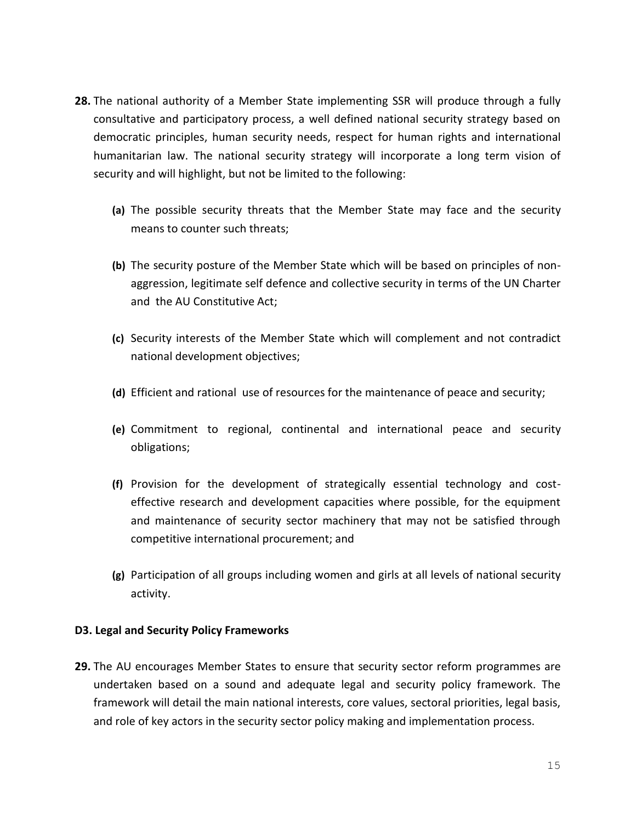- **28.** The national authority of a Member State implementing SSR will produce through a fully consultative and participatory process, a well defined national security strategy based on democratic principles, human security needs, respect for human rights and international humanitarian law. The national security strategy will incorporate a long term vision of security and will highlight, but not be limited to the following:
	- **(a)** The possible security threats that the Member State may face and the security means to counter such threats;
	- **(b)** The security posture of the Member State which will be based on principles of nonaggression, legitimate self defence and collective security in terms of the UN Charter and the AU Constitutive Act;
	- **(c)** Security interests of the Member State which will complement and not contradict national development objectives;
	- **(d)** Efficient and rational use of resources for the maintenance of peace and security;
	- **(e)** Commitment to regional, continental and international peace and security obligations;
	- **(f)** Provision for the development of strategically essential technology and costeffective research and development capacities where possible, for the equipment and maintenance of security sector machinery that may not be satisfied through competitive international procurement; and
	- **(g)** Participation of all groups including women and girls at all levels of national security activity.

# **D3. Legal and Security Policy Frameworks**

**29.** The AU encourages Member States to ensure that security sector reform programmes are undertaken based on a sound and adequate legal and security policy framework. The framework will detail the main national interests, core values, sectoral priorities, legal basis, and role of key actors in the security sector policy making and implementation process.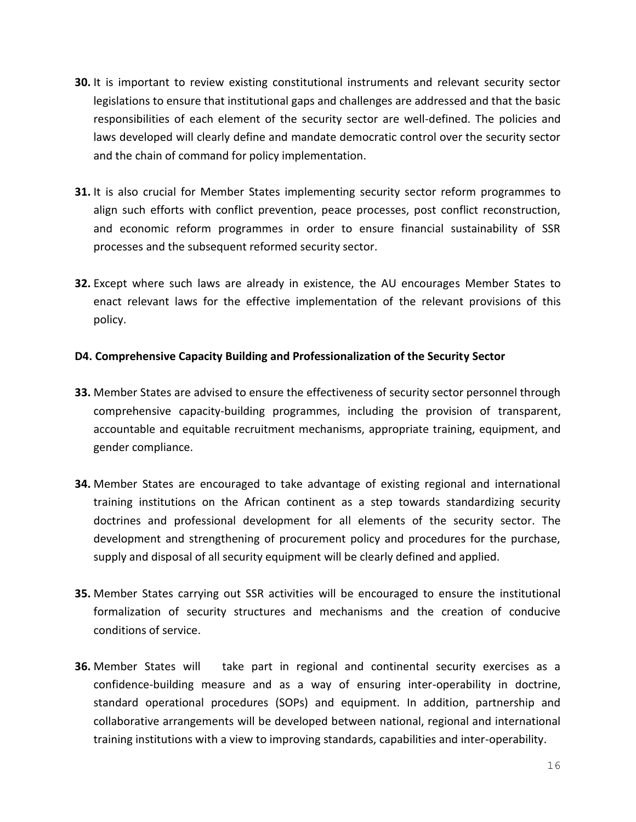- **30.** It is important to review existing constitutional instruments and relevant security sector legislations to ensure that institutional gaps and challenges are addressed and that the basic responsibilities of each element of the security sector are well-defined. The policies and laws developed will clearly define and mandate democratic control over the security sector and the chain of command for policy implementation.
- **31.** It is also crucial for Member States implementing security sector reform programmes to align such efforts with conflict prevention, peace processes, post conflict reconstruction, and economic reform programmes in order to ensure financial sustainability of SSR processes and the subsequent reformed security sector.
- **32.** Except where such laws are already in existence, the AU encourages Member States to enact relevant laws for the effective implementation of the relevant provisions of this policy.

# **D4. Comprehensive Capacity Building and Professionalization of the Security Sector**

- **33.** Member States are advised to ensure the effectiveness of security sector personnel through comprehensive capacity-building programmes, including the provision of transparent, accountable and equitable recruitment mechanisms, appropriate training, equipment, and gender compliance.
- **34.** Member States are encouraged to take advantage of existing regional and international training institutions on the African continent as a step towards standardizing security doctrines and professional development for all elements of the security sector. The development and strengthening of procurement policy and procedures for the purchase, supply and disposal of all security equipment will be clearly defined and applied.
- **35.** Member States carrying out SSR activities will be encouraged to ensure the institutional formalization of security structures and mechanisms and the creation of conducive conditions of service.
- **36.** Member States will take part in regional and continental security exercises as a confidence-building measure and as a way of ensuring inter-operability in doctrine, standard operational procedures (SOPs) and equipment. In addition, partnership and collaborative arrangements will be developed between national, regional and international training institutions with a view to improving standards, capabilities and inter-operability.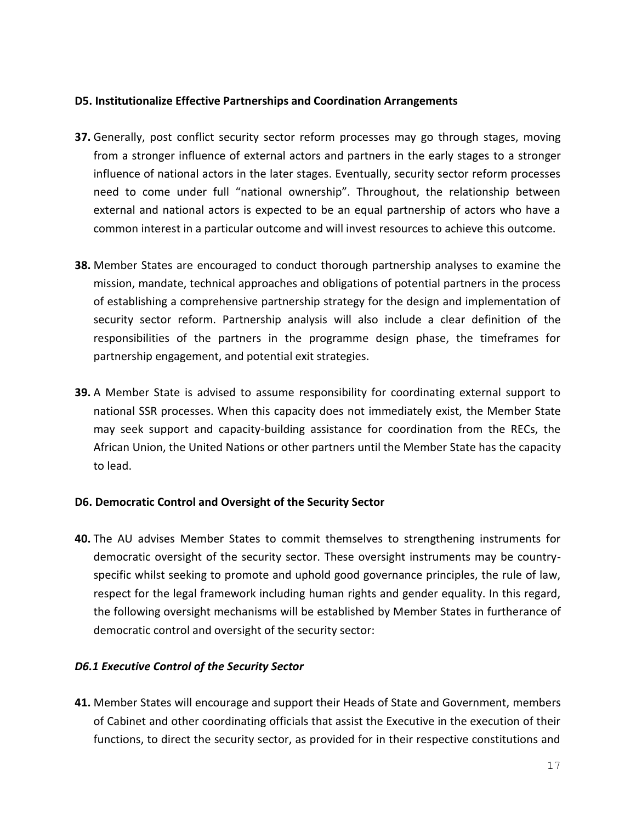#### **D5. Institutionalize Effective Partnerships and Coordination Arrangements**

- **37.** Generally, post conflict security sector reform processes may go through stages, moving from a stronger influence of external actors and partners in the early stages to a stronger influence of national actors in the later stages. Eventually, security sector reform processes need to come under full "national ownership". Throughout, the relationship between external and national actors is expected to be an equal partnership of actors who have a common interest in a particular outcome and will invest resources to achieve this outcome.
- **38.** Member States are encouraged to conduct thorough partnership analyses to examine the mission, mandate, technical approaches and obligations of potential partners in the process of establishing a comprehensive partnership strategy for the design and implementation of security sector reform. Partnership analysis will also include a clear definition of the responsibilities of the partners in the programme design phase, the timeframes for partnership engagement, and potential exit strategies.
- **39.** A Member State is advised to assume responsibility for coordinating external support to national SSR processes. When this capacity does not immediately exist, the Member State may seek support and capacity-building assistance for coordination from the RECs, the African Union, the United Nations or other partners until the Member State has the capacity to lead.

# **D6. Democratic Control and Oversight of the Security Sector**

**40.** The AU advises Member States to commit themselves to strengthening instruments for democratic oversight of the security sector. These oversight instruments may be countryspecific whilst seeking to promote and uphold good governance principles, the rule of law, respect for the legal framework including human rights and gender equality. In this regard, the following oversight mechanisms will be established by Member States in furtherance of democratic control and oversight of the security sector:

# *D6.1 Executive Control of the Security Sector*

**41.** Member States will encourage and support their Heads of State and Government, members of Cabinet and other coordinating officials that assist the Executive in the execution of their functions, to direct the security sector, as provided for in their respective constitutions and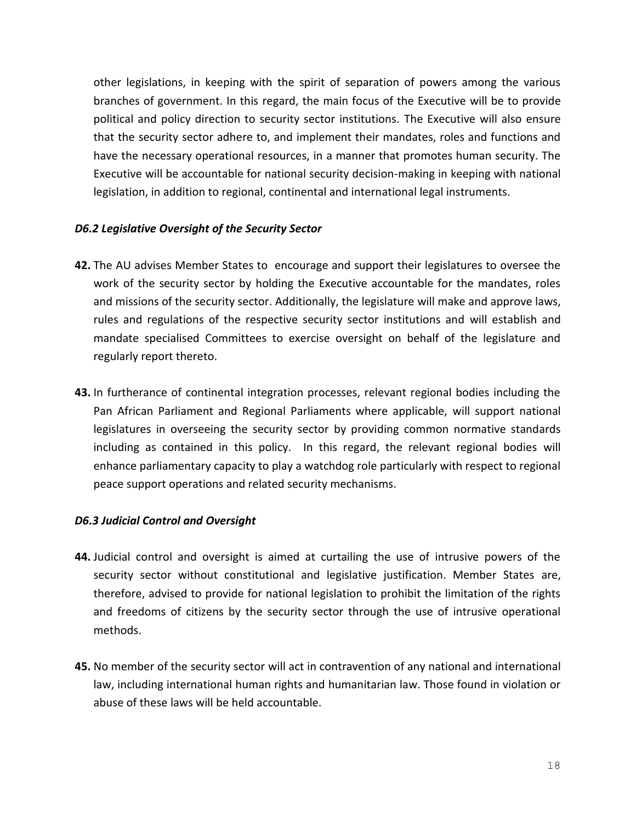other legislations, in keeping with the spirit of separation of powers among the various branches of government. In this regard, the main focus of the Executive will be to provide political and policy direction to security sector institutions. The Executive will also ensure that the security sector adhere to, and implement their mandates, roles and functions and have the necessary operational resources, in a manner that promotes human security. The Executive will be accountable for national security decision-making in keeping with national legislation, in addition to regional, continental and international legal instruments.

# *D6.2 Legislative Oversight of the Security Sector*

- **42.** The AU advises Member States to encourage and support their legislatures to oversee the work of the security sector by holding the Executive accountable for the mandates, roles and missions of the security sector. Additionally, the legislature will make and approve laws, rules and regulations of the respective security sector institutions and will establish and mandate specialised Committees to exercise oversight on behalf of the legislature and regularly report thereto.
- **43.** In furtherance of continental integration processes, relevant regional bodies including the Pan African Parliament and Regional Parliaments where applicable, will support national legislatures in overseeing the security sector by providing common normative standards including as contained in this policy. In this regard, the relevant regional bodies will enhance parliamentary capacity to play a watchdog role particularly with respect to regional peace support operations and related security mechanisms.

#### *D6.3 Judicial Control and Oversight*

- **44.** Judicial control and oversight is aimed at curtailing the use of intrusive powers of the security sector without constitutional and legislative justification. Member States are, therefore, advised to provide for national legislation to prohibit the limitation of the rights and freedoms of citizens by the security sector through the use of intrusive operational methods.
- **45.** No member of the security sector will act in contravention of any national and international law, including international human rights and humanitarian law. Those found in violation or abuse of these laws will be held accountable.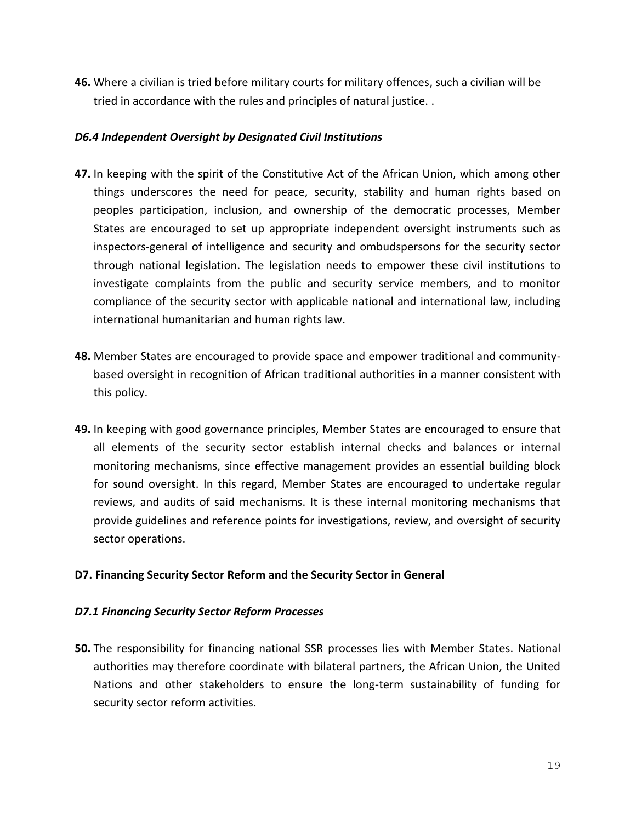**46.** Where a civilian is tried before military courts for military offences, such a civilian will be tried in accordance with the rules and principles of natural justice. .

# *D6.4 Independent Oversight by Designated Civil Institutions*

- **47.** In keeping with the spirit of the Constitutive Act of the African Union, which among other things underscores the need for peace, security, stability and human rights based on peoples participation, inclusion, and ownership of the democratic processes, Member States are encouraged to set up appropriate independent oversight instruments such as inspectors-general of intelligence and security and ombudspersons for the security sector through national legislation. The legislation needs to empower these civil institutions to investigate complaints from the public and security service members, and to monitor compliance of the security sector with applicable national and international law, including international humanitarian and human rights law.
- **48.** Member States are encouraged to provide space and empower traditional and communitybased oversight in recognition of African traditional authorities in a manner consistent with this policy.
- **49.** In keeping with good governance principles, Member States are encouraged to ensure that all elements of the security sector establish internal checks and balances or internal monitoring mechanisms, since effective management provides an essential building block for sound oversight. In this regard, Member States are encouraged to undertake regular reviews, and audits of said mechanisms. It is these internal monitoring mechanisms that provide guidelines and reference points for investigations, review, and oversight of security sector operations.

# **D7. Financing Security Sector Reform and the Security Sector in General**

# *D7.1 Financing Security Sector Reform Processes*

**50.** The responsibility for financing national SSR processes lies with Member States. National authorities may therefore coordinate with bilateral partners, the African Union, the United Nations and other stakeholders to ensure the long-term sustainability of funding for security sector reform activities.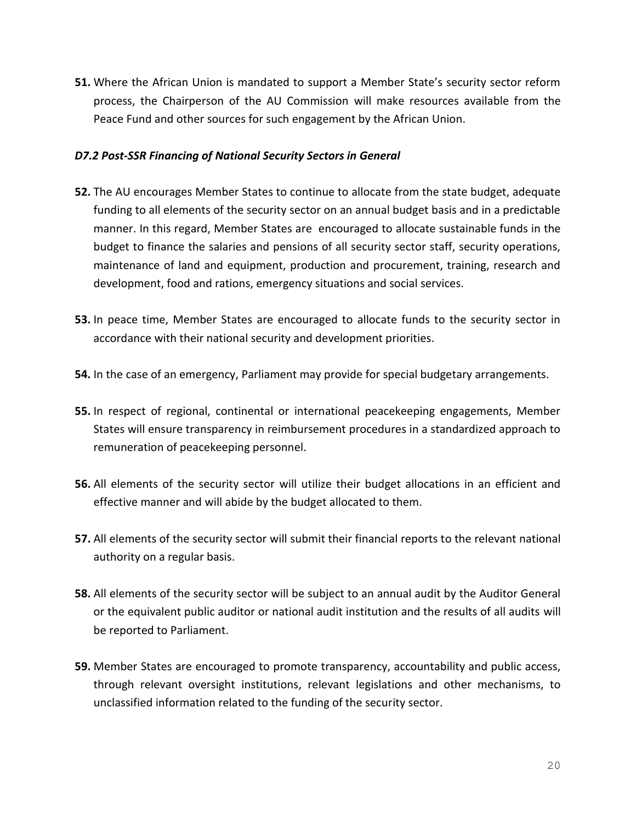**51.** Where the African Union is mandated to support a Member State's security sector reform process, the Chairperson of the AU Commission will make resources available from the Peace Fund and other sources for such engagement by the African Union.

# *D7.2 Post-SSR Financing of National Security Sectors in General*

- **52.** The AU encourages Member States to continue to allocate from the state budget, adequate funding to all elements of the security sector on an annual budget basis and in a predictable manner. In this regard, Member States are encouraged to allocate sustainable funds in the budget to finance the salaries and pensions of all security sector staff, security operations, maintenance of land and equipment, production and procurement, training, research and development, food and rations, emergency situations and social services.
- **53.** In peace time, Member States are encouraged to allocate funds to the security sector in accordance with their national security and development priorities.
- **54.** In the case of an emergency, Parliament may provide for special budgetary arrangements.
- **55.** In respect of regional, continental or international peacekeeping engagements, Member States will ensure transparency in reimbursement procedures in a standardized approach to remuneration of peacekeeping personnel.
- **56.** All elements of the security sector will utilize their budget allocations in an efficient and effective manner and will abide by the budget allocated to them.
- **57.** All elements of the security sector will submit their financial reports to the relevant national authority on a regular basis.
- **58.** All elements of the security sector will be subject to an annual audit by the Auditor General or the equivalent public auditor or national audit institution and the results of all audits will be reported to Parliament.
- **59.** Member States are encouraged to promote transparency, accountability and public access, through relevant oversight institutions, relevant legislations and other mechanisms, to unclassified information related to the funding of the security sector.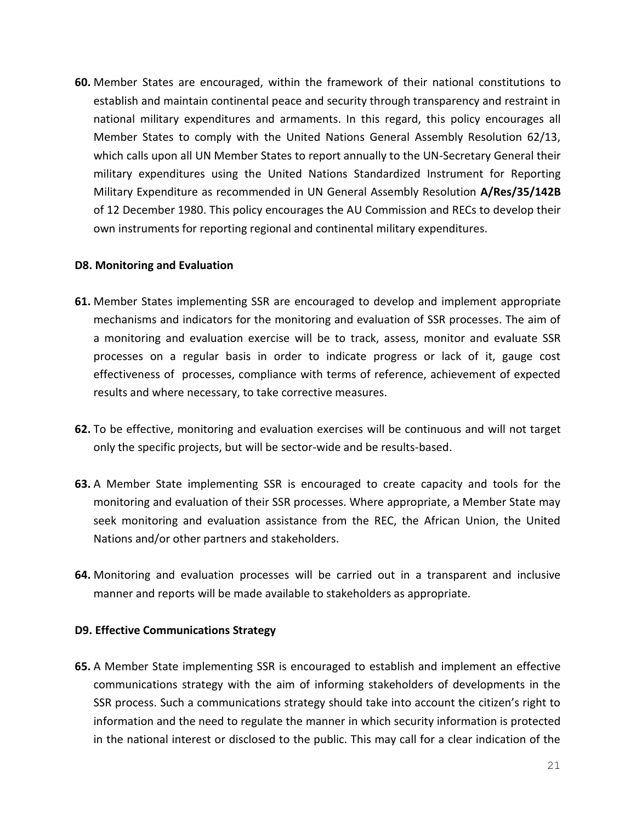**60.** Member States are encouraged, within the framework of their national constitutions to establish and maintain continental peace and security through transparency and restraint in national military expenditures and armaments. In this regard, this policy encourages all Member States to comply with the United Nations General Assembly Resolution 62/13, which calls upon all UN Member States to report annually to the UN-Secretary General their military expenditures using the United Nations Standardized Instrument for Reporting Military Expenditure as recommended in UN General Assembly Resolution **A/Res/35/142B** of 12 December 1980. This policy encourages the AU Commission and RECs to develop their own instruments for reporting regional and continental military expenditures.

# **D8. Monitoring and Evaluation**

- **61.** Member States implementing SSR are encouraged to develop and implement appropriate mechanisms and indicators for the monitoring and evaluation of SSR processes. The aim of a monitoring and evaluation exercise will be to track, assess, monitor and evaluate SSR processes on a regular basis in order to indicate progress or lack of it, gauge cost effectiveness of processes, compliance with terms of reference, achievement of expected results and where necessary, to take corrective measures.
- **62.** To be effective, monitoring and evaluation exercises will be continuous and will not target only the specific projects, but will be sector-wide and be results-based.
- **63.** A Member State implementing SSR is encouraged to create capacity and tools for the monitoring and evaluation of their SSR processes. Where appropriate, a Member State may seek monitoring and evaluation assistance from the REC, the African Union, the United Nations and/or other partners and stakeholders.
- **64.** Monitoring and evaluation processes will be carried out in a transparent and inclusive manner and reports will be made available to stakeholders as appropriate.

# **D9. Effective Communications Strategy**

**65.** A Member State implementing SSR is encouraged to establish and implement an effective communications strategy with the aim of informing stakeholders of developments in the SSR process. Such a communications strategy should take into account the citizen's right to information and the need to regulate the manner in which security information is protected in the national interest or disclosed to the public. This may call for a clear indication of the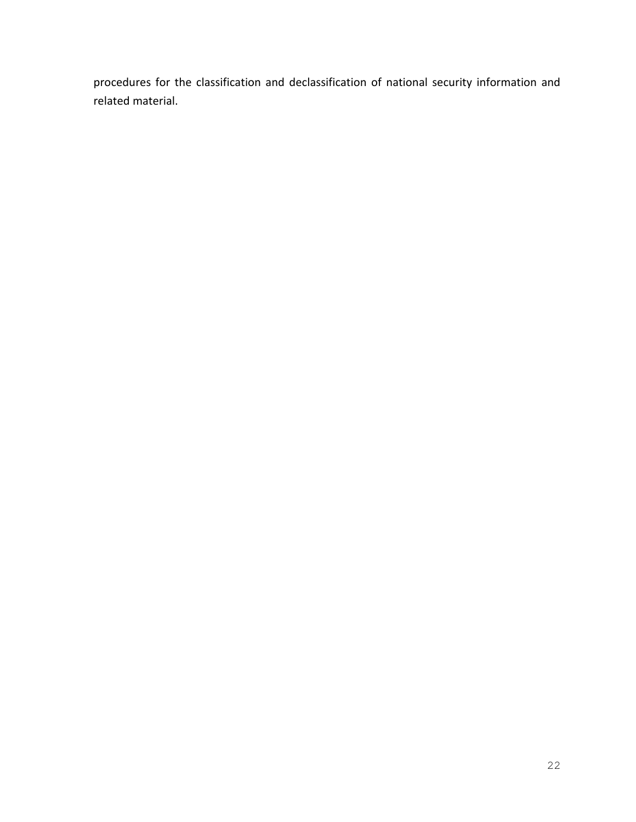procedures for the classification and declassification of national security information and related material.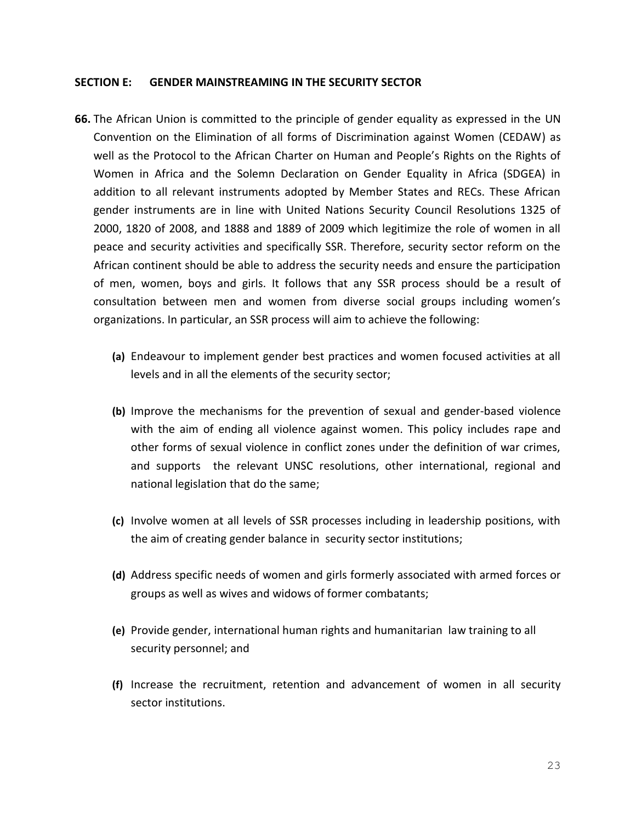#### **SECTION E: GENDER MAINSTREAMING IN THE SECURITY SECTOR**

- **66.** The African Union is committed to the principle of gender equality as expressed in the UN Convention on the Elimination of all forms of Discrimination against Women (CEDAW) as well as the Protocol to the African Charter on Human and People's Rights on the Rights of Women in Africa and the Solemn Declaration on Gender Equality in Africa (SDGEA) in addition to all relevant instruments adopted by Member States and RECs. These African gender instruments are in line with United Nations Security Council Resolutions 1325 of 2000, 1820 of 2008, and 1888 and 1889 of 2009 which legitimize the role of women in all peace and security activities and specifically SSR. Therefore, security sector reform on the African continent should be able to address the security needs and ensure the participation of men, women, boys and girls. It follows that any SSR process should be a result of consultation between men and women from diverse social groups including women's organizations. In particular, an SSR process will aim to achieve the following:
	- **(a)** Endeavour to implement gender best practices and women focused activities at all levels and in all the elements of the security sector;
	- **(b)** Improve the mechanisms for the prevention of sexual and gender-based violence with the aim of ending all violence against women. This policy includes rape and other forms of sexual violence in conflict zones under the definition of war crimes, and supports the relevant UNSC resolutions, other international, regional and national legislation that do the same;
	- **(c)** Involve women at all levels of SSR processes including in leadership positions, with the aim of creating gender balance in security sector institutions;
	- **(d)** Address specific needs of women and girls formerly associated with armed forces or groups as well as wives and widows of former combatants;
	- **(e)** Provide gender, international human rights and humanitarian law training to all security personnel; and
	- **(f)** Increase the recruitment, retention and advancement of women in all security sector institutions.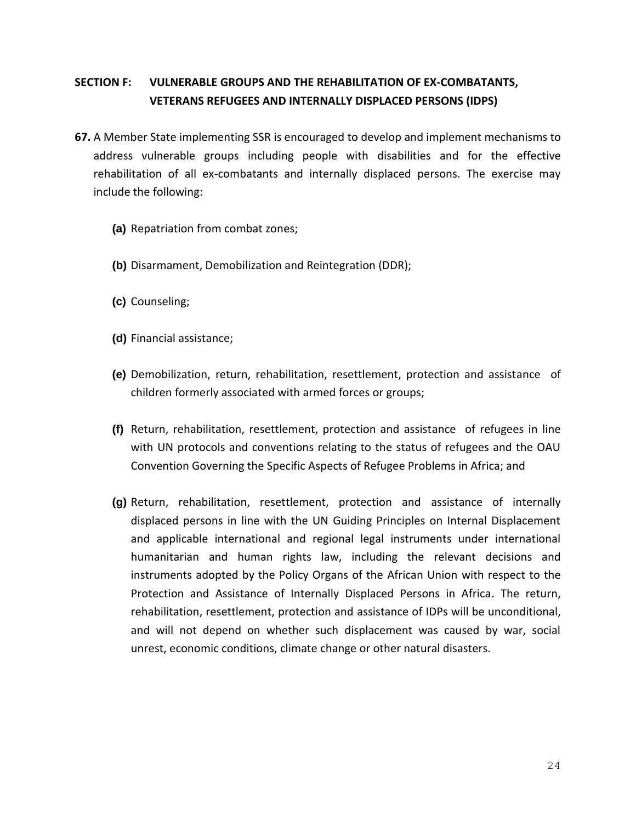# **SECTION F: VULNERABLE GROUPS AND THE REHABILITATION OF EX-COMBATANTS, VETERANS REFUGEES AND INTERNALLY DISPLACED PERSONS (IDPS)**

- **67.** A Member State implementing SSR is encouraged to develop and implement mechanisms to address vulnerable groups including people with disabilities and for the effective rehabilitation of all ex-combatants and internally displaced persons. The exercise may include the following:
	- **(a)** Repatriation from combat zones;
	- **(b)** Disarmament, Demobilization and Reintegration (DDR);
	- **(c)** Counseling;
	- **(d)** Financial assistance;
	- **(e)** Demobilization, return, rehabilitation, resettlement, protection and assistance of children formerly associated with armed forces or groups;
	- **(f)** Return, rehabilitation, resettlement, protection and assistance of refugees in line with UN protocols and conventions relating to the status of refugees and the OAU Convention Governing the Specific Aspects of Refugee Problems in Africa; and
	- **(g)** Return, rehabilitation, resettlement, protection and assistance of internally displaced persons in line with the UN Guiding Principles on Internal Displacement and applicable international and regional legal instruments under international humanitarian and human rights law, including the relevant decisions and instruments adopted by the Policy Organs of the African Union with respect to the Protection and Assistance of Internally Displaced Persons in Africa. The return, rehabilitation, resettlement, protection and assistance of IDPs will be unconditional, and will not depend on whether such displacement was caused by war, social unrest, economic conditions, climate change or other natural disasters.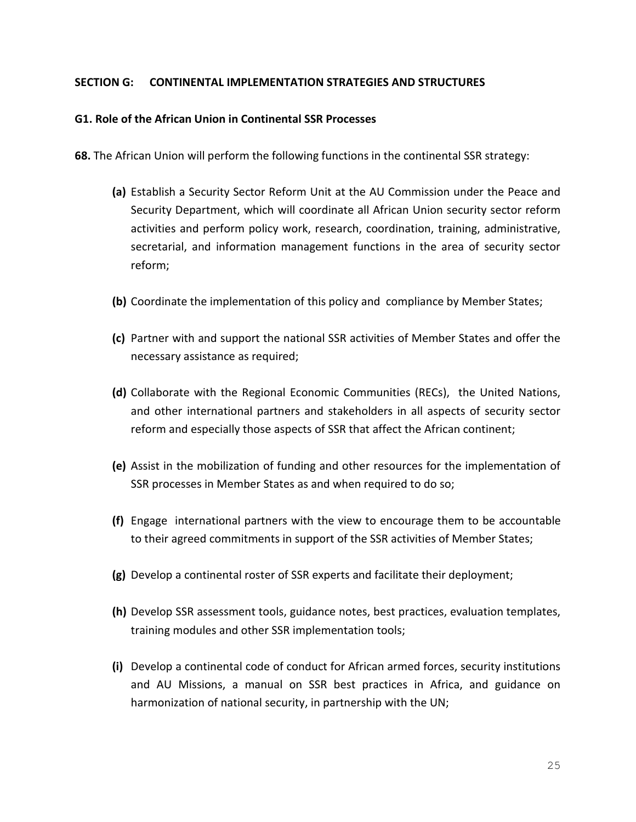#### **SECTION G: CONTINENTAL IMPLEMENTATION STRATEGIES AND STRUCTURES**

#### **G1. Role of the African Union in Continental SSR Processes**

**68.** The African Union will perform the following functions in the continental SSR strategy:

- **(a)** Establish a Security Sector Reform Unit at the AU Commission under the Peace and Security Department, which will coordinate all African Union security sector reform activities and perform policy work, research, coordination, training, administrative, secretarial, and information management functions in the area of security sector reform;
- **(b)** Coordinate the implementation of this policy and compliance by Member States;
- **(c)** Partner with and support the national SSR activities of Member States and offer the necessary assistance as required;
- **(d)** Collaborate with the Regional Economic Communities (RECs), the United Nations, and other international partners and stakeholders in all aspects of security sector reform and especially those aspects of SSR that affect the African continent;
- **(e)** Assist in the mobilization of funding and other resources for the implementation of SSR processes in Member States as and when required to do so;
- **(f)** Engage international partners with the view to encourage them to be accountable to their agreed commitments in support of the SSR activities of Member States;
- **(g)** Develop a continental roster of SSR experts and facilitate their deployment;
- **(h)** Develop SSR assessment tools, guidance notes, best practices, evaluation templates, training modules and other SSR implementation tools;
- **(i)** Develop a continental code of conduct for African armed forces, security institutions and AU Missions, a manual on SSR best practices in Africa, and guidance on harmonization of national security, in partnership with the UN;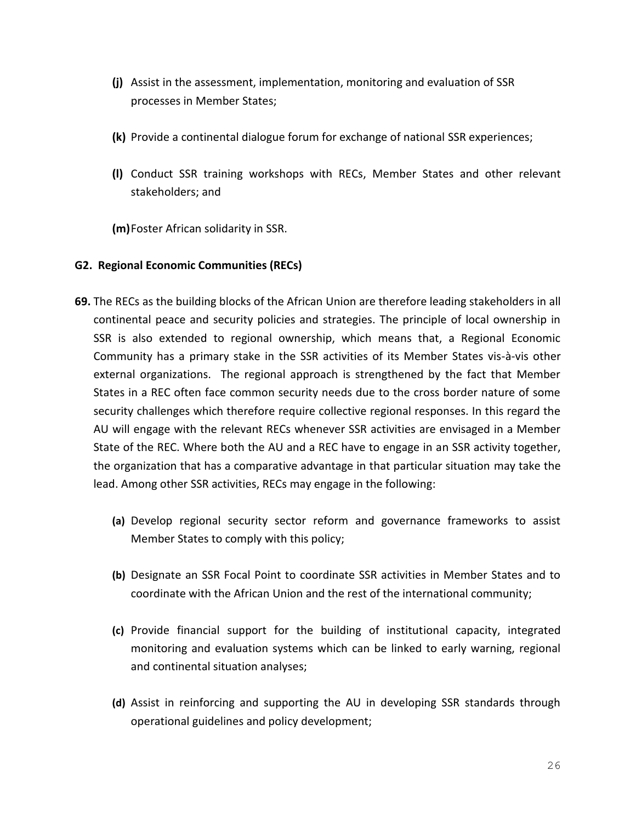- **(j)** Assist in the assessment, implementation, monitoring and evaluation of SSR processes in Member States;
- **(k)** Provide a continental dialogue forum for exchange of national SSR experiences;
- **(l)** Conduct SSR training workshops with RECs, Member States and other relevant stakeholders; and

**(m)**Foster African solidarity in SSR.

# **G2. Regional Economic Communities (RECs)**

- **69.** The RECs as the building blocks of the African Union are therefore leading stakeholders in all continental peace and security policies and strategies. The principle of local ownership in SSR is also extended to regional ownership, which means that, a Regional Economic Community has a primary stake in the SSR activities of its Member States vis-à-vis other external organizations. The regional approach is strengthened by the fact that Member States in a REC often face common security needs due to the cross border nature of some security challenges which therefore require collective regional responses. In this regard the AU will engage with the relevant RECs whenever SSR activities are envisaged in a Member State of the REC. Where both the AU and a REC have to engage in an SSR activity together, the organization that has a comparative advantage in that particular situation may take the lead. Among other SSR activities, RECs may engage in the following:
	- **(a)** Develop regional security sector reform and governance frameworks to assist Member States to comply with this policy;
	- **(b)** Designate an SSR Focal Point to coordinate SSR activities in Member States and to coordinate with the African Union and the rest of the international community;
	- **(c)** Provide financial support for the building of institutional capacity, integrated monitoring and evaluation systems which can be linked to early warning, regional and continental situation analyses;
	- **(d)** Assist in reinforcing and supporting the AU in developing SSR standards through operational guidelines and policy development;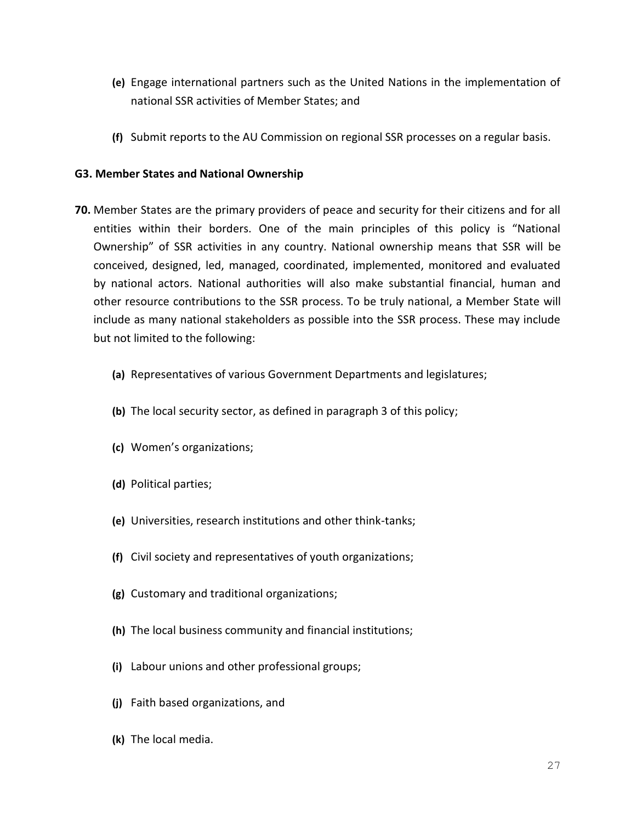- **(e)** Engage international partners such as the United Nations in the implementation of national SSR activities of Member States; and
- **(f)** Submit reports to the AU Commission on regional SSR processes on a regular basis.

# **G3. Member States and National Ownership**

- **70.** Member States are the primary providers of peace and security for their citizens and for all entities within their borders. One of the main principles of this policy is "National Ownership" of SSR activities in any country. National ownership means that SSR will be conceived, designed, led, managed, coordinated, implemented, monitored and evaluated by national actors. National authorities will also make substantial financial, human and other resource contributions to the SSR process. To be truly national, a Member State will include as many national stakeholders as possible into the SSR process. These may include but not limited to the following:
	- **(a)** Representatives of various Government Departments and legislatures;
	- **(b)** The local security sector, as defined in paragraph 3 of this policy;
	- **(c)** Women's organizations;
	- **(d)** Political parties;
	- **(e)** Universities, research institutions and other think-tanks;
	- **(f)** Civil society and representatives of youth organizations;
	- **(g)** Customary and traditional organizations;
	- **(h)** The local business community and financial institutions;
	- **(i)** Labour unions and other professional groups;
	- **(j)** Faith based organizations, and
	- **(k)** The local media.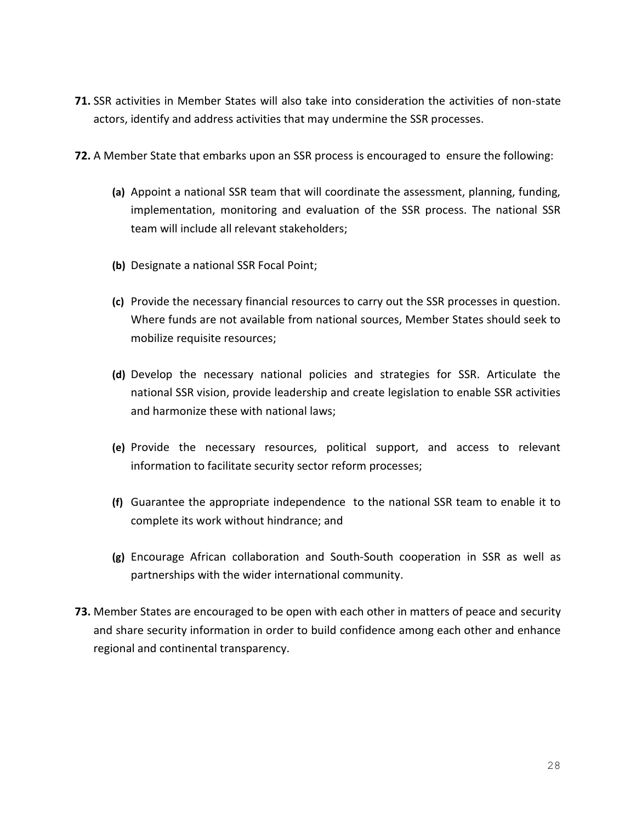- **71.** SSR activities in Member States will also take into consideration the activities of non-state actors, identify and address activities that may undermine the SSR processes.
- **72.** A Member State that embarks upon an SSR process is encouraged to ensure the following:
	- **(a)** Appoint a national SSR team that will coordinate the assessment, planning, funding, implementation, monitoring and evaluation of the SSR process. The national SSR team will include all relevant stakeholders;
	- **(b)** Designate a national SSR Focal Point;
	- **(c)** Provide the necessary financial resources to carry out the SSR processes in question. Where funds are not available from national sources, Member States should seek to mobilize requisite resources;
	- **(d)** Develop the necessary national policies and strategies for SSR. Articulate the national SSR vision, provide leadership and create legislation to enable SSR activities and harmonize these with national laws;
	- **(e)** Provide the necessary resources, political support, and access to relevant information to facilitate security sector reform processes;
	- **(f)** Guarantee the appropriate independence to the national SSR team to enable it to complete its work without hindrance; and
	- **(g)** Encourage African collaboration and South-South cooperation in SSR as well as partnerships with the wider international community.
- **73.** Member States are encouraged to be open with each other in matters of peace and security and share security information in order to build confidence among each other and enhance regional and continental transparency.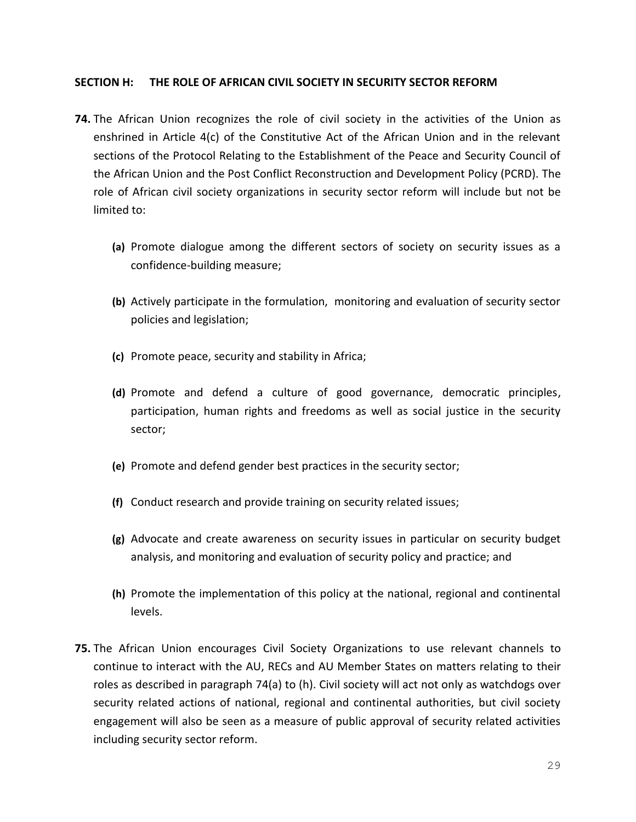#### **SECTION H: THE ROLE OF AFRICAN CIVIL SOCIETY IN SECURITY SECTOR REFORM**

- **74.** The African Union recognizes the role of civil society in the activities of the Union as enshrined in Article 4(c) of the Constitutive Act of the African Union and in the relevant sections of the Protocol Relating to the Establishment of the Peace and Security Council of the African Union and the Post Conflict Reconstruction and Development Policy (PCRD). The role of African civil society organizations in security sector reform will include but not be limited to:
	- **(a)** Promote dialogue among the different sectors of society on security issues as a confidence-building measure;
	- **(b)** Actively participate in the formulation, monitoring and evaluation of security sector policies and legislation;
	- **(c)** Promote peace, security and stability in Africa;
	- **(d)** Promote and defend a culture of good governance, democratic principles, participation, human rights and freedoms as well as social justice in the security sector;
	- **(e)** Promote and defend gender best practices in the security sector;
	- **(f)** Conduct research and provide training on security related issues;
	- **(g)** Advocate and create awareness on security issues in particular on security budget analysis, and monitoring and evaluation of security policy and practice; and
	- **(h)** Promote the implementation of this policy at the national, regional and continental levels.
- **75.** The African Union encourages Civil Society Organizations to use relevant channels to continue to interact with the AU, RECs and AU Member States on matters relating to their roles as described in paragraph 74(a) to (h). Civil society will act not only as watchdogs over security related actions of national, regional and continental authorities, but civil society engagement will also be seen as a measure of public approval of security related activities including security sector reform.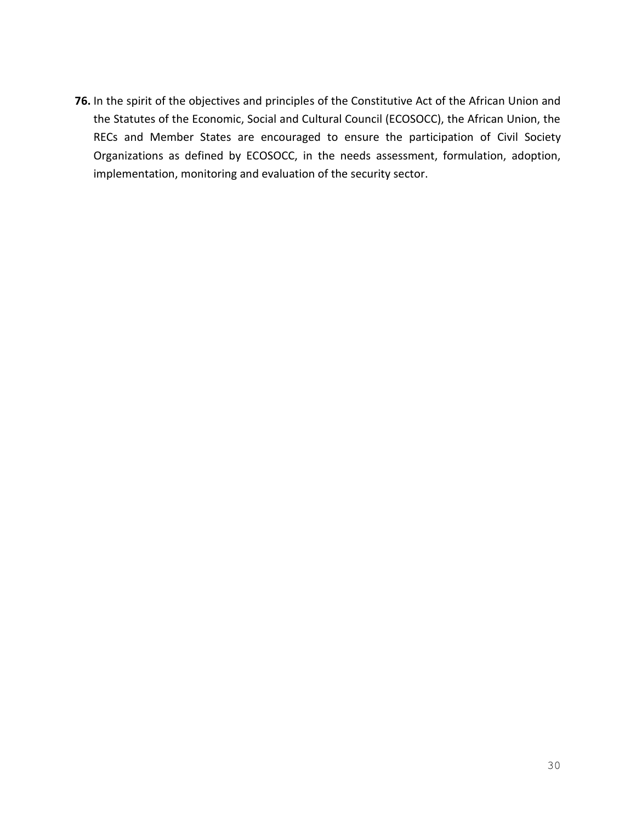**76.** In the spirit of the objectives and principles of the Constitutive Act of the African Union and the Statutes of the Economic, Social and Cultural Council (ECOSOCC), the African Union, the RECs and Member States are encouraged to ensure the participation of Civil Society Organizations as defined by ECOSOCC, in the needs assessment, formulation, adoption, implementation, monitoring and evaluation of the security sector.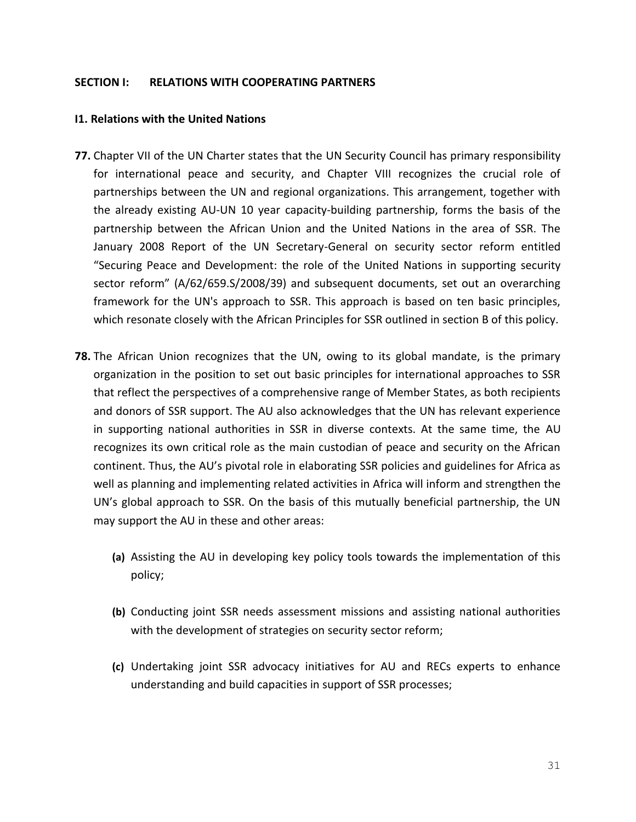#### **SECTION I: RELATIONS WITH COOPERATING PARTNERS**

#### **I1. Relations with the United Nations**

- **77.** Chapter VII of the UN Charter states that the UN Security Council has primary responsibility for international peace and security, and Chapter VIII recognizes the crucial role of partnerships between the UN and regional organizations. This arrangement, together with the already existing AU-UN 10 year capacity-building partnership, forms the basis of the partnership between the African Union and the United Nations in the area of SSR. The January 2008 Report of the UN Secretary-General on security sector reform entitled "Securing Peace and Development: the role of the United Nations in supporting security sector reform" (A/62/659.S/2008/39) and subsequent documents, set out an overarching framework for the UN's approach to SSR. This approach is based on ten basic principles, which resonate closely with the African Principles for SSR outlined in section B of this policy.
- **78.** The African Union recognizes that the UN, owing to its global mandate, is the primary organization in the position to set out basic principles for international approaches to SSR that reflect the perspectives of a comprehensive range of Member States, as both recipients and donors of SSR support. The AU also acknowledges that the UN has relevant experience in supporting national authorities in SSR in diverse contexts. At the same time, the AU recognizes its own critical role as the main custodian of peace and security on the African continent. Thus, the AU's pivotal role in elaborating SSR policies and guidelines for Africa as well as planning and implementing related activities in Africa will inform and strengthen the UN's global approach to SSR. On the basis of this mutually beneficial partnership, the UN may support the AU in these and other areas:
	- **(a)** Assisting the AU in developing key policy tools towards the implementation of this policy;
	- **(b)** Conducting joint SSR needs assessment missions and assisting national authorities with the development of strategies on security sector reform;
	- **(c)** Undertaking joint SSR advocacy initiatives for AU and RECs experts to enhance understanding and build capacities in support of SSR processes;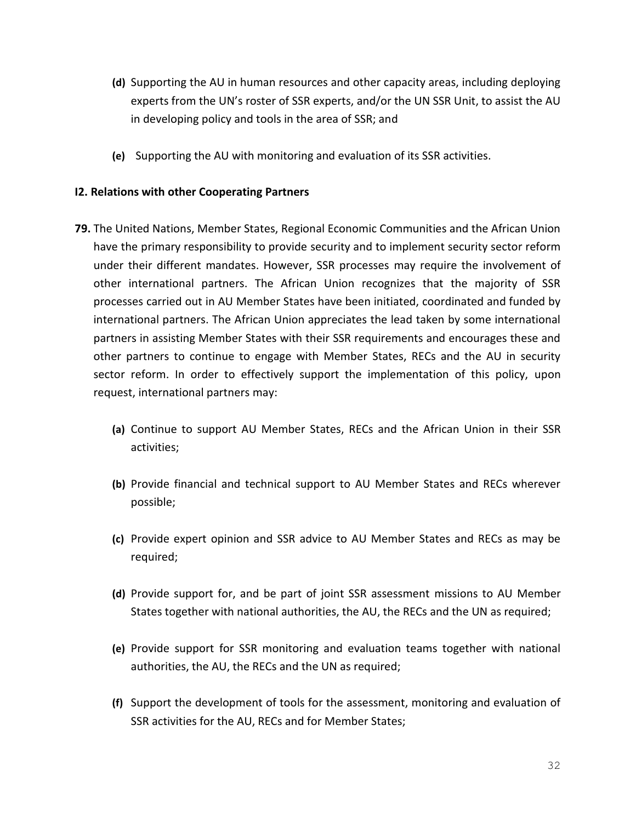- **(d)** Supporting the AU in human resources and other capacity areas, including deploying experts from the UN's roster of SSR experts, and/or the UN SSR Unit, to assist the AU in developing policy and tools in the area of SSR; and
- **(e)** Supporting the AU with monitoring and evaluation of its SSR activities.

# **I2. Relations with other Cooperating Partners**

- **79.** The United Nations, Member States, Regional Economic Communities and the African Union have the primary responsibility to provide security and to implement security sector reform under their different mandates. However, SSR processes may require the involvement of other international partners. The African Union recognizes that the majority of SSR processes carried out in AU Member States have been initiated, coordinated and funded by international partners. The African Union appreciates the lead taken by some international partners in assisting Member States with their SSR requirements and encourages these and other partners to continue to engage with Member States, RECs and the AU in security sector reform. In order to effectively support the implementation of this policy, upon request, international partners may:
	- **(a)** Continue to support AU Member States, RECs and the African Union in their SSR activities;
	- **(b)** Provide financial and technical support to AU Member States and RECs wherever possible;
	- **(c)** Provide expert opinion and SSR advice to AU Member States and RECs as may be required;
	- **(d)** Provide support for, and be part of joint SSR assessment missions to AU Member States together with national authorities, the AU, the RECs and the UN as required;
	- **(e)** Provide support for SSR monitoring and evaluation teams together with national authorities, the AU, the RECs and the UN as required;
	- **(f)** Support the development of tools for the assessment, monitoring and evaluation of SSR activities for the AU, RECs and for Member States;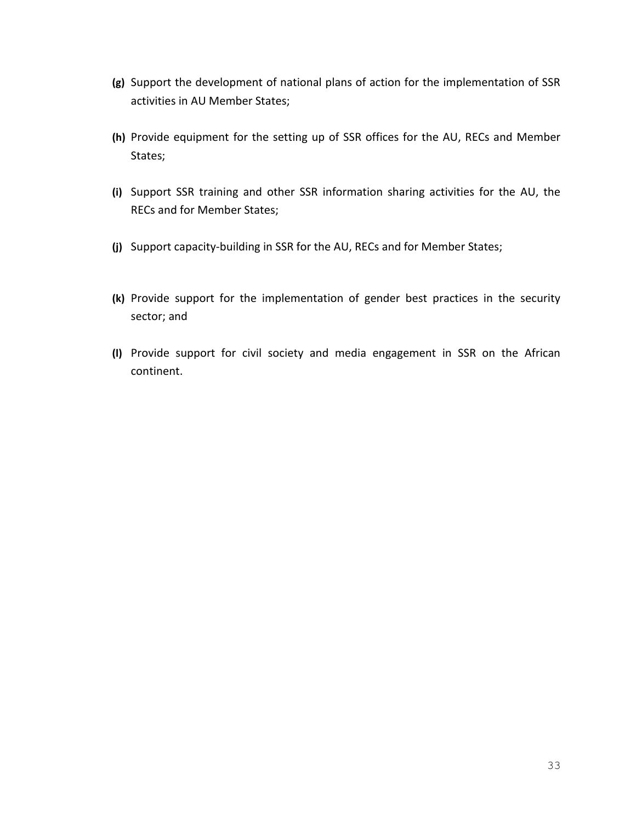- **(g)** Support the development of national plans of action for the implementation of SSR activities in AU Member States;
- **(h)** Provide equipment for the setting up of SSR offices for the AU, RECs and Member States;
- **(i)** Support SSR training and other SSR information sharing activities for the AU, the RECs and for Member States;
- **(j)** Support capacity-building in SSR for the AU, RECs and for Member States;
- **(k)** Provide support for the implementation of gender best practices in the security sector; and
- **(l)** Provide support for civil society and media engagement in SSR on the African continent.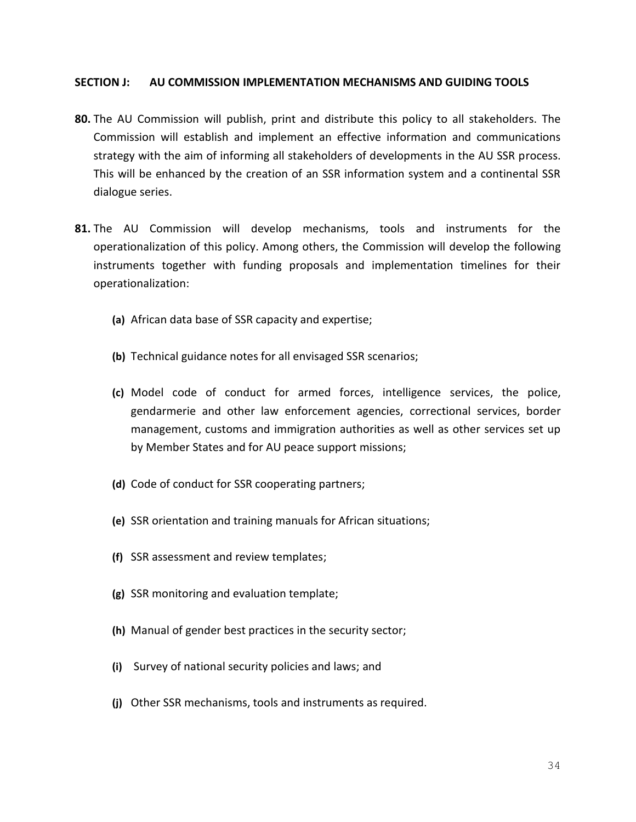#### **SECTION J: AU COMMISSION IMPLEMENTATION MECHANISMS AND GUIDING TOOLS**

- **80.** The AU Commission will publish, print and distribute this policy to all stakeholders. The Commission will establish and implement an effective information and communications strategy with the aim of informing all stakeholders of developments in the AU SSR process. This will be enhanced by the creation of an SSR information system and a continental SSR dialogue series.
- **81.** The AU Commission will develop mechanisms, tools and instruments for the operationalization of this policy. Among others, the Commission will develop the following instruments together with funding proposals and implementation timelines for their operationalization:
	- **(a)** African data base of SSR capacity and expertise;
	- **(b)** Technical guidance notes for all envisaged SSR scenarios;
	- **(c)** Model code of conduct for armed forces, intelligence services, the police, gendarmerie and other law enforcement agencies, correctional services, border management, customs and immigration authorities as well as other services set up by Member States and for AU peace support missions;
	- **(d)** Code of conduct for SSR cooperating partners;
	- **(e)** SSR orientation and training manuals for African situations;
	- **(f)** SSR assessment and review templates;
	- **(g)** SSR monitoring and evaluation template;
	- **(h)** Manual of gender best practices in the security sector;
	- **(i)** Survey of national security policies and laws; and
	- **(j)** Other SSR mechanisms, tools and instruments as required.